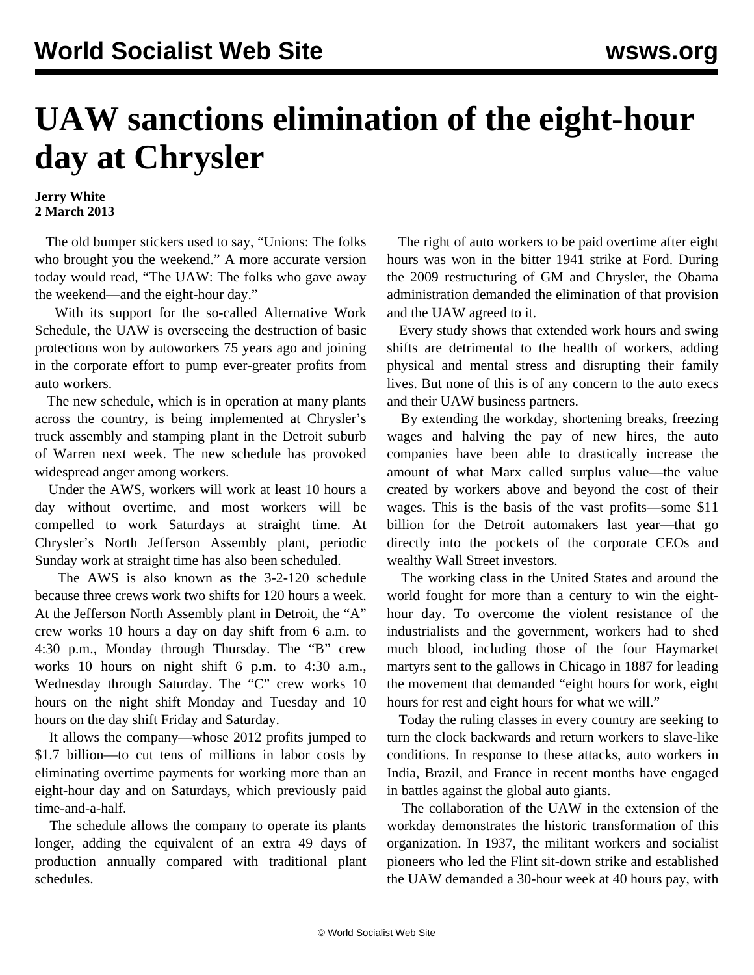## **UAW sanctions elimination of the eight-hour day at Chrysler**

## **Jerry White 2 March 2013**

 The old bumper stickers used to say, "Unions: The folks who brought you the weekend." A more accurate version today would read, "The UAW: The folks who gave away the weekend—and the eight-hour day."

 With its support for the so-called Alternative Work Schedule, the UAW is overseeing the destruction of basic protections won by autoworkers 75 years ago and joining in the corporate effort to pump ever-greater profits from auto workers.

 The new schedule, which is in operation at many plants across the country, is being implemented at Chrysler's truck assembly and stamping plant in the Detroit suburb of Warren next week. The new schedule has provoked widespread anger among workers.

 Under the AWS, workers will work at least 10 hours a day without overtime, and most workers will be compelled to work Saturdays at straight time. At Chrysler's North Jefferson Assembly plant, periodic Sunday work at straight time has also been scheduled.

 The AWS is also known as the 3-2-120 schedule because three crews work two shifts for 120 hours a week. At the Jefferson North Assembly plant in Detroit, the "A" crew works 10 hours a day on day shift from 6 a.m. to 4:30 p.m., Monday through Thursday. The "B" crew works 10 hours on night shift 6 p.m. to 4:30 a.m., Wednesday through Saturday. The "C" crew works 10 hours on the night shift Monday and Tuesday and 10 hours on the day shift Friday and Saturday.

 It allows the company—whose 2012 profits jumped to \$1.7 billion—to cut tens of millions in labor costs by eliminating overtime payments for working more than an eight-hour day and on Saturdays, which previously paid time-and-a-half.

 The schedule allows the company to operate its plants longer, adding the equivalent of an extra 49 days of production annually compared with traditional plant schedules.

 The right of auto workers to be paid overtime after eight hours was won in the bitter 1941 strike at Ford. During the 2009 restructuring of GM and Chrysler, the Obama administration demanded the elimination of that provision and the UAW agreed to it.

 Every study shows that extended work hours and swing shifts are detrimental to the health of workers, adding physical and mental stress and disrupting their family lives. But none of this is of any concern to the auto execs and their UAW business partners.

 By extending the workday, shortening breaks, freezing wages and halving the pay of new hires, the auto companies have been able to drastically increase the amount of what Marx called surplus value—the value created by workers above and beyond the cost of their wages. This is the basis of the vast profits—some \$11 billion for the Detroit automakers last year—that go directly into the pockets of the corporate CEOs and wealthy Wall Street investors.

 The working class in the United States and around the world fought for more than a century to win the eighthour day. To overcome the violent resistance of the industrialists and the government, workers had to shed much blood, including those of the four Haymarket martyrs sent to the gallows in Chicago in 1887 for leading the movement that demanded "eight hours for work, eight hours for rest and eight hours for what we will."

 Today the ruling classes in every country are seeking to turn the clock backwards and return workers to slave-like conditions. In response to these attacks, auto workers in India, Brazil, and France in recent months have engaged in battles against the global auto giants.

 The collaboration of the UAW in the extension of the workday demonstrates the historic transformation of this organization. In 1937, the militant workers and socialist pioneers who led the Flint sit-down strike and established the UAW demanded a 30-hour week at 40 hours pay, with